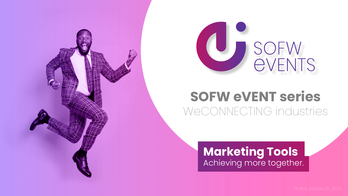



### **SOFW eVENT series**  WeCONNECTING industries

### **Marketing Tools** Achieving more together.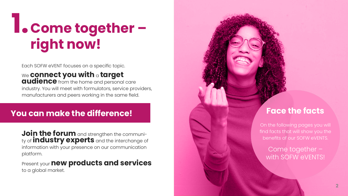## **1.Come together – right now!**

Each SOFW eVENT focuses on a specific topic.

#### We **connect you with** a **target audience** from the home and personal care industry. You will meet with formulators, service providers, manufacturers and peers working in the same field.

### **You can make the difference!**

**Join the forum** and strengthen the community of **industry experts** and the interchange of information with your presence on our communication platform.

Present your **new products and services** to a global market.

#### **Face the facts**

On the following pages you will find facts that will show you the benefits of our SOFW eVENTS.

Come together – with SOFW eVENTS!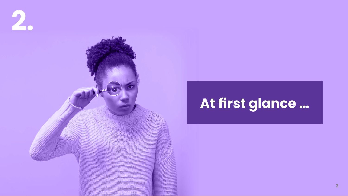

## **At first glance …**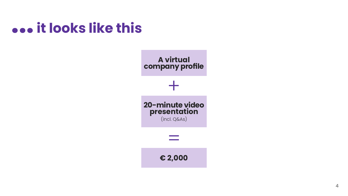### **... it looks like this**

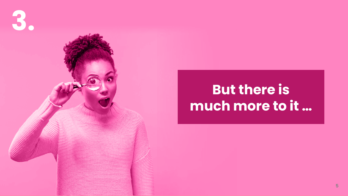

### **But there is much more to it …**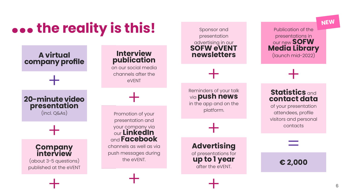## **... the reality is this!**



Sponsor and

**NEW**

**6**

Publication of the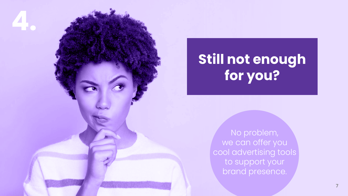

## **Still not enough for you?**

No problem, we can offer you cool advertising tools to support your brand presence.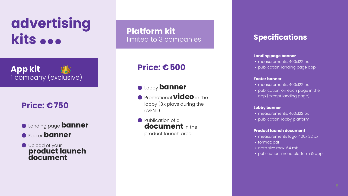## **advertising kits ...**

#### **App kit**  1 company (exclusive) W

### **Price: €750**

- Landing page **banner**
- Footer **banner**
- Upload of your **product launch document**

**Platform kit**  limited to 3 companies

#### **Price: €500**

- $\bullet$  **Lobby banner**
- **Promotional Video** in the lobby (3x plays during the eVENT)
- **Publication of a document** in the product launch area

#### **Specifications**

#### **Landing page banner**

- measurements: 400x122 px
- publication: landing page app

#### **Footer banner**

- measurements: 400x122 px
- publication: on each page in the app (except landing page)

#### **Lobby banner**

- measurements: 400x122 px
- publication: lobby platform

#### **Product launch document**

- measurements logo: 400x122 px
- format: pdf
- data size max: 64 mb
- publication: menu platform & app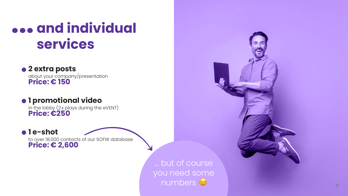### **... and individual services**

#### **2 extra posts**

about your company/presentation **Price: € 150**

#### **1 promotional video**

in the lobby (2x plays during the eVENT) **Price: €250**

#### **1 e-shot**

to over 18.000 contacts of our SOFW database **Price: € 2,600**

> ... but of course you need some numbers<sup>C</sup>

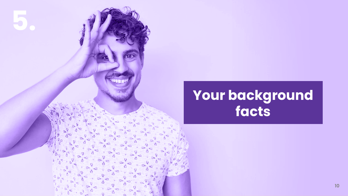## **Your background facts**

**5.**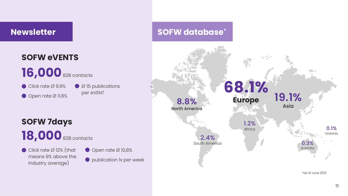#### **Newsletter**

### **SOFW eVENTS**

16,000 B2B contacts

 $\bullet$  Click rate  $\varnothing$  9.9%  $\bullet$  Open rate Ø 11.8% **O** Ø 15 publications per eVENT

### 18,000 B2B contacts **SOFW 7days**

Click rate  $\varnothing$  12% (that means 9% above the industry average)



#### **O** publication 1x per week

### **SOFW database\***

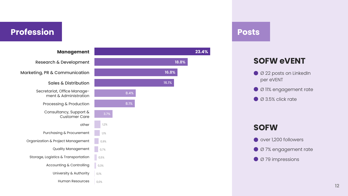Profession **Profession** 

| <b>Management</b>                                    |      |      |       | 23.4% |
|------------------------------------------------------|------|------|-------|-------|
| Research & Development                               |      |      |       | 18.8% |
| <b>Marketing, PR &amp; Communication</b>             |      |      | 16.8% |       |
| <b>Sales &amp; Distribution</b>                      |      |      | 16.1% |       |
| Secretariat, Office Manage-<br>ment & Administration |      | 8.4% |       |       |
| Processing & Production                              |      | 8.1% |       |       |
| Consultancy, Support &<br><b>Customer Care</b>       | 3.7% |      |       |       |
| other                                                | 1,2% |      |       |       |
| <b>Purchasing &amp; Procurement</b>                  | 1,1% |      |       |       |
| Organization & Project Management                    | 0,9% |      |       |       |
| <b>Quality Management</b>                            | 0,7% |      |       |       |
| Storage, Logistics & Transportation                  | 0,5% |      |       |       |
| Accounting & Controlling                             | 0,3% |      |       |       |
| University & Authority                               | 0,1% |      |       |       |
| <b>Human Resources</b>                               | 0,0% |      |       |       |

#### **SOFW eVENT**

- Ø 22 posts on LinkedIn per eVENT
- Ø 11% engagement rate
- $\bullet$  Ø 3.5% click rate

#### **SOFW**

- over 1,200 followers
- Ø 7% engagement rate
- Ø 79 impressions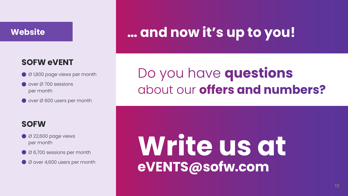#### **Website**

## **… and now it's up to you!**

#### **SOFW eVENT**

- $\bullet$  Ø 1,800 page views per month
- $\bullet$  over  $\varnothing$  700 sessions per month
- over Ø 600 users per month

### Do you have **questions** about our **offers and numbers?**

#### **SOFW**

- $\bullet$  Ø 22,600 page views per month
- Ø 6,700 sessions per month
- Ø over 4,600 users per month

# **Write us at eVENTS@sofw.com**